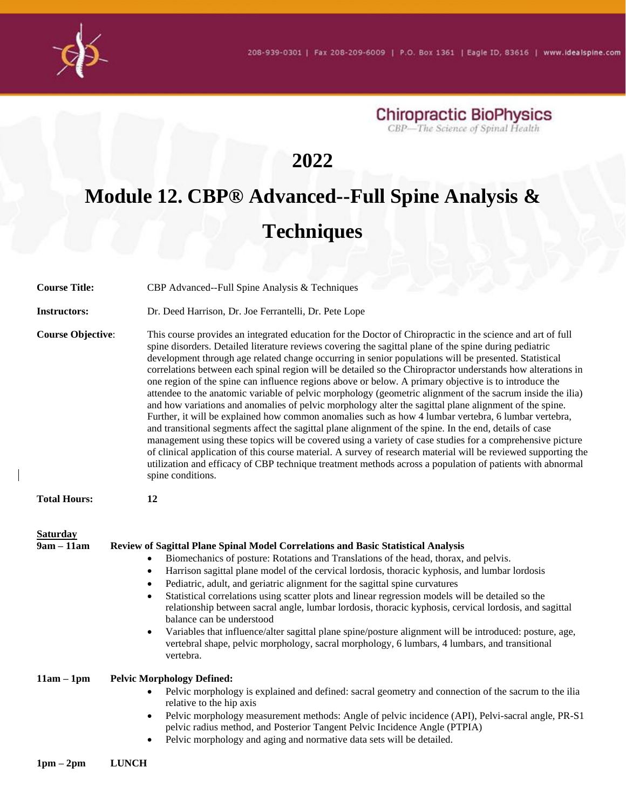

**Chiropractic BioPhysics**<br>CBP-The Science of Spinal Health

## **2022**

## **Module 12. CBP® Advanced--Full Spine Analysis & Techniques**

| <b>Course Title:</b>            | CBP Advanced--Full Spine Analysis & Techniques                                                                                                                                                                                                                                                                                                                                                                                                                                                                                                                                                                                                                                                                                                                                                                                                                                                                                                                                                                                                                                                                                                                                                                                                                                                                                                                    |
|---------------------------------|-------------------------------------------------------------------------------------------------------------------------------------------------------------------------------------------------------------------------------------------------------------------------------------------------------------------------------------------------------------------------------------------------------------------------------------------------------------------------------------------------------------------------------------------------------------------------------------------------------------------------------------------------------------------------------------------------------------------------------------------------------------------------------------------------------------------------------------------------------------------------------------------------------------------------------------------------------------------------------------------------------------------------------------------------------------------------------------------------------------------------------------------------------------------------------------------------------------------------------------------------------------------------------------------------------------------------------------------------------------------|
| <b>Instructors:</b>             | Dr. Deed Harrison, Dr. Joe Ferrantelli, Dr. Pete Lope                                                                                                                                                                                                                                                                                                                                                                                                                                                                                                                                                                                                                                                                                                                                                                                                                                                                                                                                                                                                                                                                                                                                                                                                                                                                                                             |
| <b>Course Objective:</b>        | This course provides an integrated education for the Doctor of Chiropractic in the science and art of full<br>spine disorders. Detailed literature reviews covering the sagittal plane of the spine during pediatric<br>development through age related change occurring in senior populations will be presented. Statistical<br>correlations between each spinal region will be detailed so the Chiropractor understands how alterations in<br>one region of the spine can influence regions above or below. A primary objective is to introduce the<br>attendee to the anatomic variable of pelvic morphology (geometric alignment of the sacrum inside the ilia)<br>and how variations and anomalies of pelvic morphology alter the sagittal plane alignment of the spine.<br>Further, it will be explained how common anomalies such as how 4 lumbar vertebra, 6 lumbar vertebra,<br>and transitional segments affect the sagittal plane alignment of the spine. In the end, details of case<br>management using these topics will be covered using a variety of case studies for a comprehensive picture<br>of clinical application of this course material. A survey of research material will be reviewed supporting the<br>utilization and efficacy of CBP technique treatment methods across a population of patients with abnormal<br>spine conditions. |
| <b>Total Hours:</b>             | 12                                                                                                                                                                                                                                                                                                                                                                                                                                                                                                                                                                                                                                                                                                                                                                                                                                                                                                                                                                                                                                                                                                                                                                                                                                                                                                                                                                |
| <b>Saturday</b><br>$9am - 11am$ | Review of Sagittal Plane Spinal Model Correlations and Basic Statistical Analysis<br>Biomechanics of posture: Rotations and Translations of the head, thorax, and pelvis.<br>$\bullet$<br>Harrison sagittal plane model of the cervical lordosis, thoracic kyphosis, and lumbar lordosis<br>$\bullet$<br>Pediatric, adult, and geriatric alignment for the sagittal spine curvatures<br>$\bullet$<br>Statistical correlations using scatter plots and linear regression models will be detailed so the<br>$\bullet$<br>relationship between sacral angle, lumbar lordosis, thoracic kyphosis, cervical lordosis, and sagittal<br>balance can be understood<br>Variables that influence/alter sagittal plane spine/posture alignment will be introduced: posture, age,<br>$\bullet$<br>vertebral shape, pelvic morphology, sacral morphology, 6 lumbars, 4 lumbars, and transitional<br>vertebra.                                                                                                                                                                                                                                                                                                                                                                                                                                                                  |
| $11am - 1pm$                    | <b>Pelvic Morphology Defined:</b><br>Pelvic morphology is explained and defined: sacral geometry and connection of the sacrum to the ilia<br>relative to the hip axis<br>Pelvic morphology measurement methods: Angle of pelvic incidence (API), Pelvi-sacral angle, PR-S1<br>$\bullet$<br>pelvic radius method, and Posterior Tangent Pelvic Incidence Angle (PTPIA)<br>Pelvic morphology and aging and normative data sets will be detailed.<br>$\bullet$                                                                                                                                                                                                                                                                                                                                                                                                                                                                                                                                                                                                                                                                                                                                                                                                                                                                                                       |